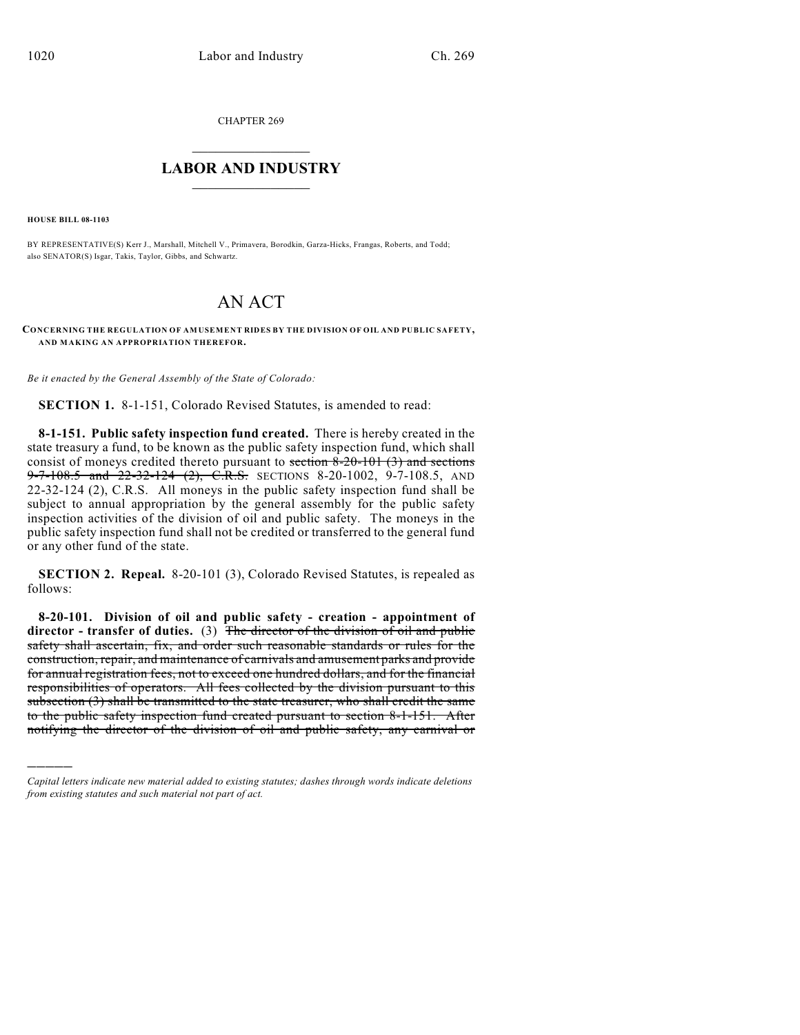CHAPTER 269

## $\overline{\phantom{a}}$  . The set of the set of the set of the set of the set of the set of the set of the set of the set of the set of the set of the set of the set of the set of the set of the set of the set of the set of the set o **LABOR AND INDUSTRY**  $\frac{1}{\sqrt{2}}$  ,  $\frac{1}{\sqrt{2}}$  ,  $\frac{1}{\sqrt{2}}$  ,  $\frac{1}{\sqrt{2}}$  ,  $\frac{1}{\sqrt{2}}$  ,  $\frac{1}{\sqrt{2}}$

**HOUSE BILL 08-1103**

)))))

BY REPRESENTATIVE(S) Kerr J., Marshall, Mitchell V., Primavera, Borodkin, Garza-Hicks, Frangas, Roberts, and Todd; also SENATOR(S) Isgar, Takis, Taylor, Gibbs, and Schwartz.

## AN ACT

**CONCERNING THE REGULATION OF AMUSEMENT RIDES BY THE DIVISION OF OIL AND PUBLIC SAFETY, AND MAKING AN APPROPRIATION THEREFOR.**

*Be it enacted by the General Assembly of the State of Colorado:*

**SECTION 1.** 8-1-151, Colorado Revised Statutes, is amended to read:

**8-1-151. Public safety inspection fund created.** There is hereby created in the state treasury a fund, to be known as the public safety inspection fund, which shall consist of moneys credited thereto pursuant to section  $8-20-101$  (3) and sections  $9 - 7 - 108.5$  and  $22 - 32 - 124$  (2), C.R.S. SECTIONS 8-20-1002, 9-7-108.5, AND 22-32-124 (2), C.R.S. All moneys in the public safety inspection fund shall be subject to annual appropriation by the general assembly for the public safety inspection activities of the division of oil and public safety. The moneys in the public safety inspection fund shall not be credited or transferred to the general fund or any other fund of the state.

**SECTION 2. Repeal.** 8-20-101 (3), Colorado Revised Statutes, is repealed as follows:

**8-20-101. Division of oil and public safety - creation - appointment of director - transfer of duties.** (3) The director of the division of oil and public safety shall ascertain, fix, and order such reasonable standards or rules for the construction, repair, and maintenance of carnivals and amusement parks and provide for annual registration fees, not to exceed one hundred dollars, and for the financial responsibilities of operators. All fees collected by the division pursuant to this subsection (3) shall be transmitted to the state treasurer, who shall credit the same to the public safety inspection fund created pursuant to section 8-1-151. After notifying the director of the division of oil and public safety, any carnival or

*Capital letters indicate new material added to existing statutes; dashes through words indicate deletions from existing statutes and such material not part of act.*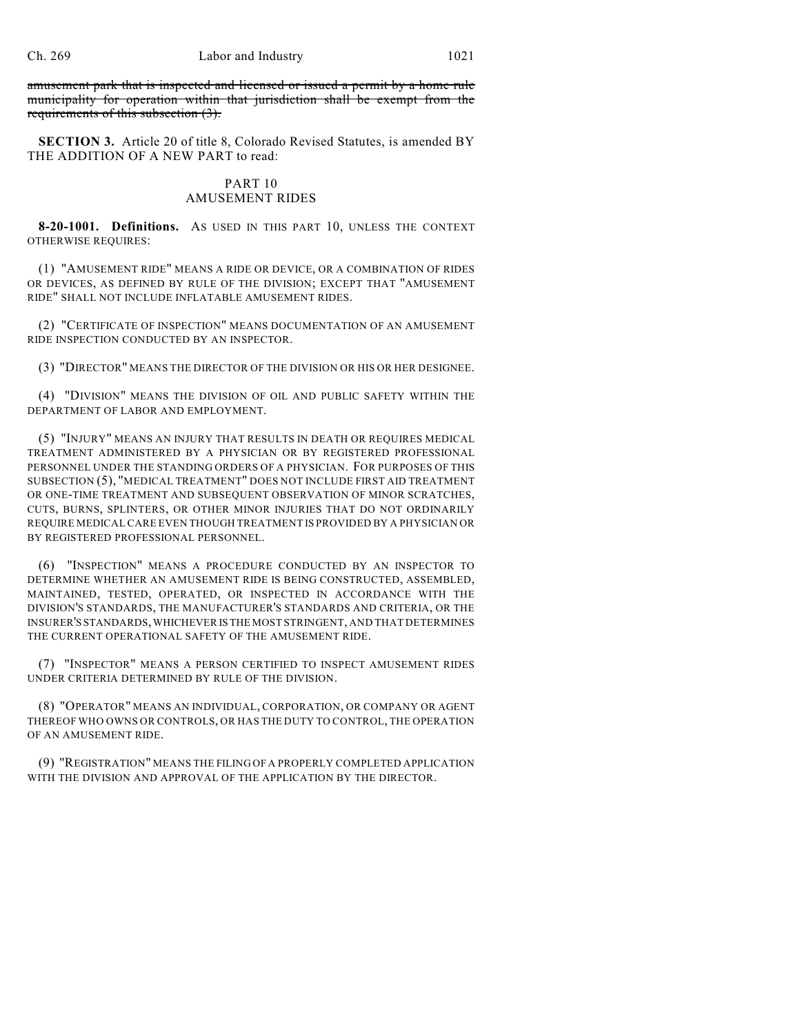amusement park that is inspected and licensed or issued a permit by a home rule municipality for operation within that jurisdiction shall be exempt from the requirements of this subsection (3).

**SECTION 3.** Article 20 of title 8, Colorado Revised Statutes, is amended BY THE ADDITION OF A NEW PART to read:

## PART 10 AMUSEMENT RIDES

**8-20-1001. Definitions.** AS USED IN THIS PART 10, UNLESS THE CONTEXT OTHERWISE REQUIRES:

(1) "AMUSEMENT RIDE" MEANS A RIDE OR DEVICE, OR A COMBINATION OF RIDES OR DEVICES, AS DEFINED BY RULE OF THE DIVISION; EXCEPT THAT "AMUSEMENT RIDE" SHALL NOT INCLUDE INFLATABLE AMUSEMENT RIDES.

(2) "CERTIFICATE OF INSPECTION" MEANS DOCUMENTATION OF AN AMUSEMENT RIDE INSPECTION CONDUCTED BY AN INSPECTOR.

(3) "DIRECTOR" MEANS THE DIRECTOR OF THE DIVISION OR HIS OR HER DESIGNEE.

(4) "DIVISION" MEANS THE DIVISION OF OIL AND PUBLIC SAFETY WITHIN THE DEPARTMENT OF LABOR AND EMPLOYMENT.

(5) "INJURY" MEANS AN INJURY THAT RESULTS IN DEATH OR REQUIRES MEDICAL TREATMENT ADMINISTERED BY A PHYSICIAN OR BY REGISTERED PROFESSIONAL PERSONNEL UNDER THE STANDING ORDERS OF A PHYSICIAN. FOR PURPOSES OF THIS SUBSECTION (5), "MEDICAL TREATMENT" DOES NOT INCLUDE FIRST AID TREATMENT OR ONE-TIME TREATMENT AND SUBSEQUENT OBSERVATION OF MINOR SCRATCHES, CUTS, BURNS, SPLINTERS, OR OTHER MINOR INJURIES THAT DO NOT ORDINARILY REQUIRE MEDICAL CARE EVEN THOUGH TREATMENT IS PROVIDED BY A PHYSICIAN OR BY REGISTERED PROFESSIONAL PERSONNEL.

(6) "INSPECTION" MEANS A PROCEDURE CONDUCTED BY AN INSPECTOR TO DETERMINE WHETHER AN AMUSEMENT RIDE IS BEING CONSTRUCTED, ASSEMBLED, MAINTAINED, TESTED, OPERATED, OR INSPECTED IN ACCORDANCE WITH THE DIVISION'S STANDARDS, THE MANUFACTURER'S STANDARDS AND CRITERIA, OR THE INSURER'S STANDARDS, WHICHEVER IS THE MOST STRINGENT, AND THAT DETERMINES THE CURRENT OPERATIONAL SAFETY OF THE AMUSEMENT RIDE.

(7) "INSPECTOR" MEANS A PERSON CERTIFIED TO INSPECT AMUSEMENT RIDES UNDER CRITERIA DETERMINED BY RULE OF THE DIVISION.

(8) "OPERATOR" MEANS AN INDIVIDUAL, CORPORATION, OR COMPANY OR AGENT THEREOF WHO OWNS OR CONTROLS, OR HAS THE DUTY TO CONTROL, THE OPERATION OF AN AMUSEMENT RIDE.

(9) "REGISTRATION" MEANS THE FILING OF A PROPERLY COMPLETED APPLICATION WITH THE DIVISION AND APPROVAL OF THE APPLICATION BY THE DIRECTOR.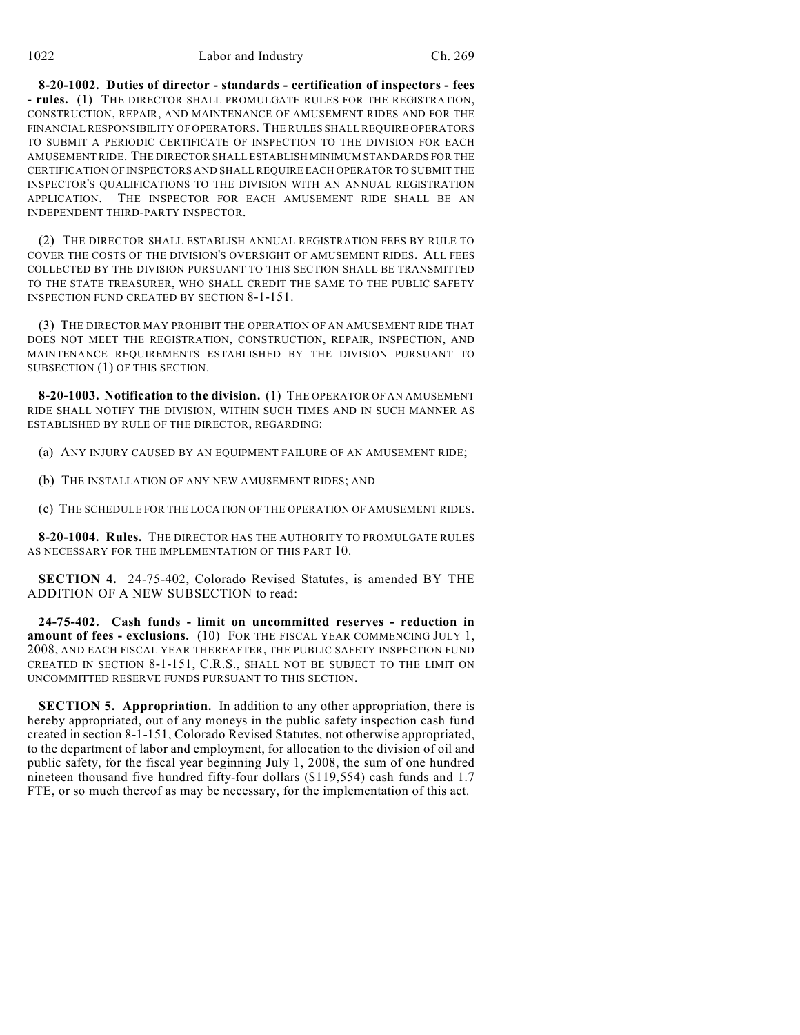**8-20-1002. Duties of director - standards - certification of inspectors - fees - rules.** (1) THE DIRECTOR SHALL PROMULGATE RULES FOR THE REGISTRATION, CONSTRUCTION, REPAIR, AND MAINTENANCE OF AMUSEMENT RIDES AND FOR THE FINANCIAL RESPONSIBILITY OF OPERATORS. THE RULES SHALL REQUIRE OPERATORS TO SUBMIT A PERIODIC CERTIFICATE OF INSPECTION TO THE DIVISION FOR EACH AMUSEMENT RIDE. THE DIRECTOR SHALL ESTABLISH MINIMUM STANDARDS FOR THE CERTIFICATION OF INSPECTORS AND SHALL REQUIRE EACH OPERATOR TO SUBMIT THE INSPECTOR'S QUALIFICATIONS TO THE DIVISION WITH AN ANNUAL REGISTRATION APPLICATION. THE INSPECTOR FOR EACH AMUSEMENT RIDE SHALL BE AN INDEPENDENT THIRD-PARTY INSPECTOR.

(2) THE DIRECTOR SHALL ESTABLISH ANNUAL REGISTRATION FEES BY RULE TO COVER THE COSTS OF THE DIVISION'S OVERSIGHT OF AMUSEMENT RIDES. ALL FEES COLLECTED BY THE DIVISION PURSUANT TO THIS SECTION SHALL BE TRANSMITTED TO THE STATE TREASURER, WHO SHALL CREDIT THE SAME TO THE PUBLIC SAFETY INSPECTION FUND CREATED BY SECTION 8-1-151.

(3) THE DIRECTOR MAY PROHIBIT THE OPERATION OF AN AMUSEMENT RIDE THAT DOES NOT MEET THE REGISTRATION, CONSTRUCTION, REPAIR, INSPECTION, AND MAINTENANCE REQUIREMENTS ESTABLISHED BY THE DIVISION PURSUANT TO SUBSECTION (1) OF THIS SECTION.

**8-20-1003. Notification to the division.** (1) THE OPERATOR OF AN AMUSEMENT RIDE SHALL NOTIFY THE DIVISION, WITHIN SUCH TIMES AND IN SUCH MANNER AS ESTABLISHED BY RULE OF THE DIRECTOR, REGARDING:

(a) ANY INJURY CAUSED BY AN EQUIPMENT FAILURE OF AN AMUSEMENT RIDE;

(b) THE INSTALLATION OF ANY NEW AMUSEMENT RIDES; AND

(c) THE SCHEDULE FOR THE LOCATION OF THE OPERATION OF AMUSEMENT RIDES.

**8-20-1004. Rules.** THE DIRECTOR HAS THE AUTHORITY TO PROMULGATE RULES AS NECESSARY FOR THE IMPLEMENTATION OF THIS PART 10.

**SECTION 4.** 24-75-402, Colorado Revised Statutes, is amended BY THE ADDITION OF A NEW SUBSECTION to read:

**24-75-402. Cash funds - limit on uncommitted reserves - reduction in amount of fees - exclusions.** (10) FOR THE FISCAL YEAR COMMENCING JULY 1, 2008, AND EACH FISCAL YEAR THEREAFTER, THE PUBLIC SAFETY INSPECTION FUND CREATED IN SECTION 8-1-151, C.R.S., SHALL NOT BE SUBJECT TO THE LIMIT ON UNCOMMITTED RESERVE FUNDS PURSUANT TO THIS SECTION.

**SECTION 5. Appropriation.** In addition to any other appropriation, there is hereby appropriated, out of any moneys in the public safety inspection cash fund created in section 8-1-151, Colorado Revised Statutes, not otherwise appropriated, to the department of labor and employment, for allocation to the division of oil and public safety, for the fiscal year beginning July 1, 2008, the sum of one hundred nineteen thousand five hundred fifty-four dollars (\$119,554) cash funds and 1.7 FTE, or so much thereof as may be necessary, for the implementation of this act.